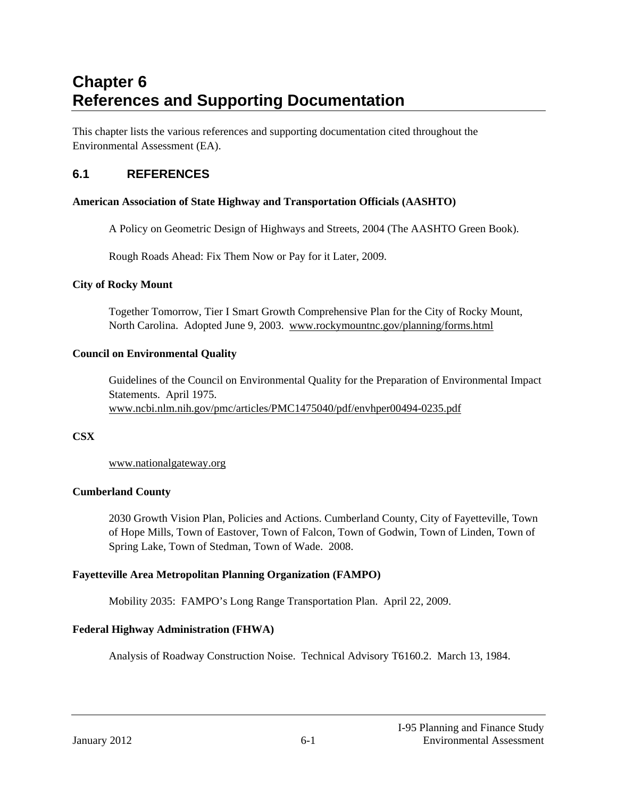# **Chapter 6 References and Supporting Documentation**

This chapter lists the various references and supporting documentation cited throughout the Environmental Assessment (EA).

# **6.1 REFERENCES**

# **American Association of State Highway and Transportation Officials (AASHTO)**

A Policy on Geometric Design of Highways and Streets, 2004 (The AASHTO Green Book).

Rough Roads Ahead: Fix Them Now or Pay for it Later, 2009.

# **City of Rocky Mount**

Together Tomorrow, Tier I Smart Growth Comprehensive Plan for the City of Rocky Mount, North Carolina. Adopted June 9, 2003. www.rockymountnc.gov/planning/forms.html

# **Council on Environmental Quality**

Guidelines of the Council on Environmental Quality for the Preparation of Environmental Impact Statements. April 1975. www.ncbi.nlm.nih.gov/pmc/articles/PMC1475040/pdf/envhper00494-0235.pdf

# **CSX**

www.nationalgateway.org

# **Cumberland County**

2030 Growth Vision Plan, Policies and Actions. Cumberland County, City of Fayetteville, Town of Hope Mills, Town of Eastover, Town of Falcon, Town of Godwin, Town of Linden, Town of Spring Lake, Town of Stedman, Town of Wade. 2008.

# **Fayetteville Area Metropolitan Planning Organization (FAMPO)**

Mobility 2035: FAMPO's Long Range Transportation Plan. April 22, 2009.

# **Federal Highway Administration (FHWA)**

Analysis of Roadway Construction Noise. Technical Advisory T6160.2. March 13, 1984.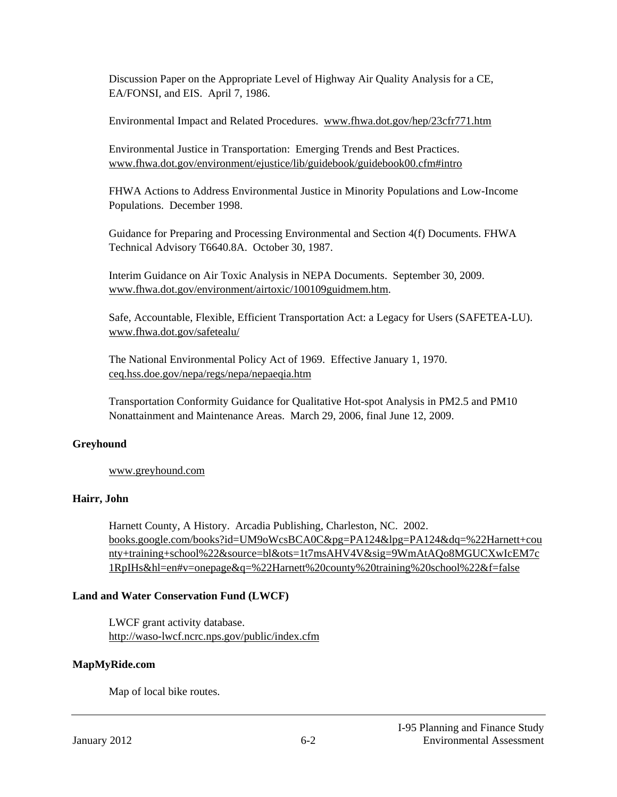Discussion Paper on the Appropriate Level of Highway Air Quality Analysis for a CE, EA/FONSI, and EIS. April 7, 1986.

Environmental Impact and Related Procedures. www.fhwa.dot.gov/hep/23cfr771.htm

Environmental Justice in Transportation: Emerging Trends and Best Practices. www.fhwa.dot.gov/environment/ejustice/lib/guidebook/guidebook00.cfm#intro

FHWA Actions to Address Environmental Justice in Minority Populations and Low-Income Populations. December 1998.

Guidance for Preparing and Processing Environmental and Section 4(f) Documents. FHWA Technical Advisory T6640.8A. October 30, 1987.

Interim Guidance on Air Toxic Analysis in NEPA Documents. September 30, 2009. www.fhwa.dot.gov/environment/airtoxic/100109guidmem.htm.

Safe, Accountable, Flexible, Efficient Transportation Act: a Legacy for Users (SAFETEA-LU). www.fhwa.dot.gov/safetealu/

The National Environmental Policy Act of 1969. Effective January 1, 1970. ceq.hss.doe.gov/nepa/regs/nepa/nepaeqia.htm

Transportation Conformity Guidance for Qualitative Hot-spot Analysis in PM2.5 and PM10 Nonattainment and Maintenance Areas. March 29, 2006, final June 12, 2009.

# **Greyhound**

www.greyhound.com

# **Hairr, John**

Harnett County, A History. Arcadia Publishing, Charleston, NC. 2002. books.google.com/books?id=UM9oWcsBCA0C&pg=PA124&lpg=PA124&dq=%22Harnett+cou nty+training+school%22&source=bl&ots=1t7msAHV4V&sig=9WmAtAQo8MGUCXwIcEM7c 1RpIHs&hl=en#v=onepage&q=%22Harnett%20county%20training%20school%22&f=false

# **Land and Water Conservation Fund (LWCF)**

LWCF grant activity database. http://waso-lwcf.ncrc.nps.gov/public/index.cfm

#### **MapMyRide.com**

Map of local bike routes.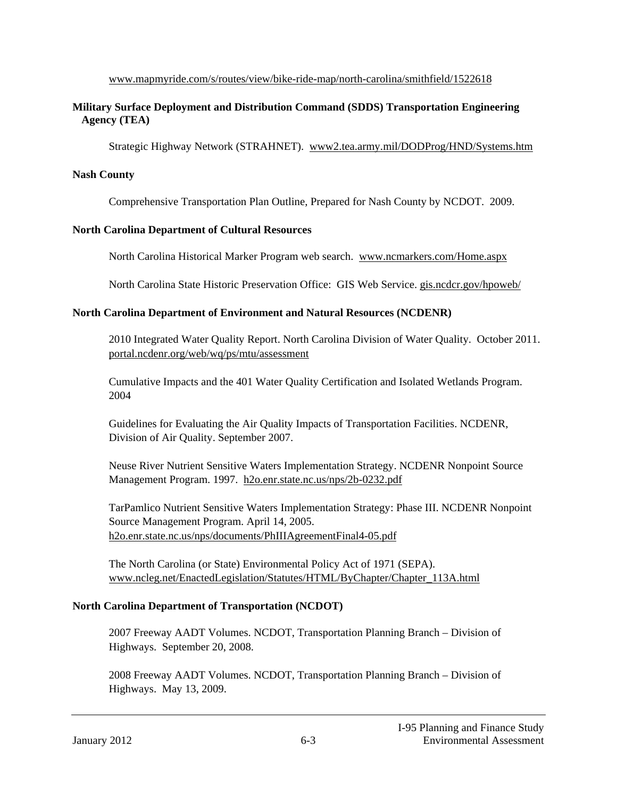www.mapmyride.com/s/routes/view/bike-ride-map/north-carolina/smithfield/1522618

#### **Military Surface Deployment and Distribution Command (SDDS) Transportation Engineering Agency (TEA)**

Strategic Highway Network (STRAHNET). www2.tea.army.mil/DODProg/HND/Systems.htm

#### **Nash County**

Comprehensive Transportation Plan Outline, Prepared for Nash County by NCDOT. 2009.

#### **North Carolina Department of Cultural Resources**

North Carolina Historical Marker Program web search. www.ncmarkers.com/Home.aspx

North Carolina State Historic Preservation Office: GIS Web Service. gis.ncdcr.gov/hpoweb/

#### **North Carolina Department of Environment and Natural Resources (NCDENR)**

2010 Integrated Water Quality Report. North Carolina Division of Water Quality. October 2011. portal.ncdenr.org/web/wq/ps/mtu/assessment

Cumulative Impacts and the 401 Water Quality Certification and Isolated Wetlands Program. 2004

Guidelines for Evaluating the Air Quality Impacts of Transportation Facilities. NCDENR, Division of Air Quality. September 2007.

Neuse River Nutrient Sensitive Waters Implementation Strategy. NCDENR Nonpoint Source Management Program. 1997. h2o.enr.state.nc.us/nps/2b-0232.pdf

TarPamlico Nutrient Sensitive Waters Implementation Strategy: Phase III. NCDENR Nonpoint Source Management Program. April 14, 2005. h2o.enr.state.nc.us/nps/documents/PhIIIAgreementFinal4-05.pdf

The North Carolina (or State) Environmental Policy Act of 1971 (SEPA). www.ncleg.net/EnactedLegislation/Statutes/HTML/ByChapter/Chapter\_113A.html

# **North Carolina Department of Transportation (NCDOT)**

2007 Freeway AADT Volumes. NCDOT, Transportation Planning Branch – Division of Highways. September 20, 2008.

2008 Freeway AADT Volumes. NCDOT, Transportation Planning Branch – Division of Highways. May 13, 2009.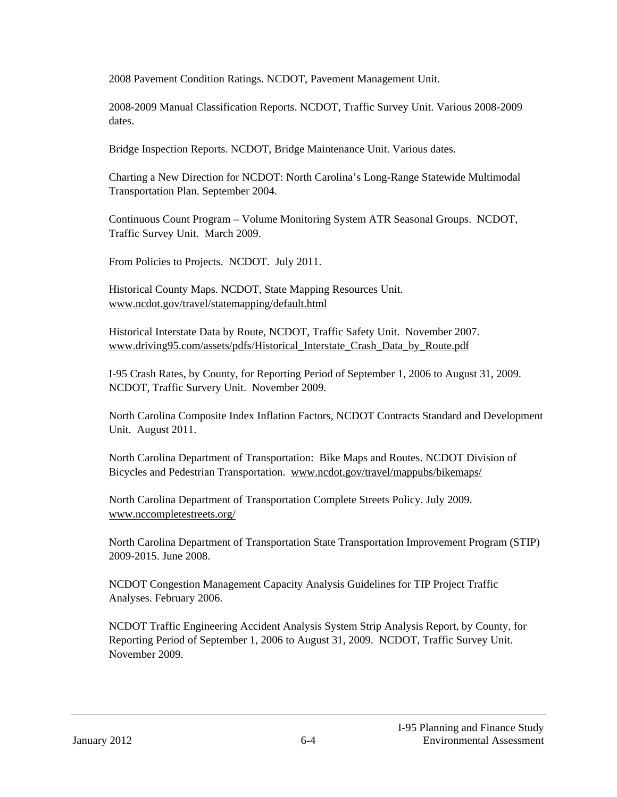2008 Pavement Condition Ratings. NCDOT, Pavement Management Unit.

2008-2009 Manual Classification Reports. NCDOT, Traffic Survey Unit. Various 2008-2009 dates.

Bridge Inspection Reports. NCDOT, Bridge Maintenance Unit. Various dates.

Charting a New Direction for NCDOT: North Carolina's Long-Range Statewide Multimodal Transportation Plan. September 2004.

Continuous Count Program – Volume Monitoring System ATR Seasonal Groups. NCDOT, Traffic Survey Unit. March 2009.

From Policies to Projects. NCDOT. July 2011.

Historical County Maps. NCDOT, State Mapping Resources Unit. www.ncdot.gov/travel/statemapping/default.html

Historical Interstate Data by Route, NCDOT, Traffic Safety Unit. November 2007. www.driving95.com/assets/pdfs/Historical\_Interstate\_Crash\_Data\_by\_Route.pdf

I-95 Crash Rates, by County, for Reporting Period of September 1, 2006 to August 31, 2009. NCDOT, Traffic Survery Unit. November 2009.

North Carolina Composite Index Inflation Factors, NCDOT Contracts Standard and Development Unit. August 2011.

North Carolina Department of Transportation: Bike Maps and Routes. NCDOT Division of Bicycles and Pedestrian Transportation. www.ncdot.gov/travel/mappubs/bikemaps/

North Carolina Department of Transportation Complete Streets Policy. July 2009. www.nccompletestreets.org/

North Carolina Department of Transportation State Transportation Improvement Program (STIP) 2009-2015. June 2008.

NCDOT Congestion Management Capacity Analysis Guidelines for TIP Project Traffic Analyses. February 2006.

NCDOT Traffic Engineering Accident Analysis System Strip Analysis Report, by County, for Reporting Period of September 1, 2006 to August 31, 2009. NCDOT, Traffic Survey Unit. November 2009.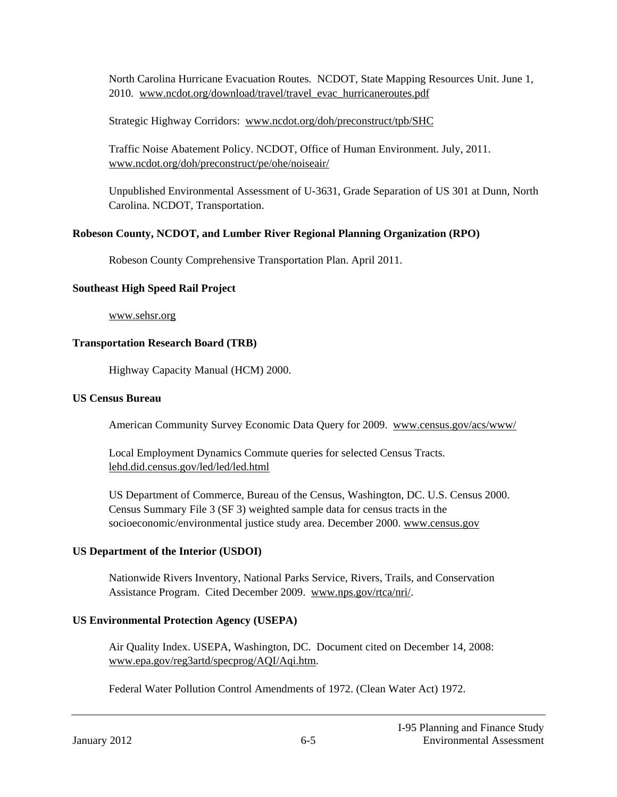North Carolina Hurricane Evacuation Routes. NCDOT, State Mapping Resources Unit. June 1, 2010. www.ncdot.org/download/travel/travel evac hurricaneroutes.pdf

Strategic Highway Corridors: www.ncdot.org/doh/preconstruct/tpb/SHC

Traffic Noise Abatement Policy. NCDOT, Office of Human Environment. July, 2011. www.ncdot.org/doh/preconstruct/pe/ohe/noiseair/

Unpublished Environmental Assessment of U-3631, Grade Separation of US 301 at Dunn, North Carolina. NCDOT, Transportation.

# **Robeson County, NCDOT, and Lumber River Regional Planning Organization (RPO)**

Robeson County Comprehensive Transportation Plan. April 2011.

#### **Southeast High Speed Rail Project**

www.sehsr.org

#### **Transportation Research Board (TRB)**

Highway Capacity Manual (HCM) 2000.

#### **US Census Bureau**

American Community Survey Economic Data Query for 2009. www.census.gov/acs/www/

Local Employment Dynamics Commute queries for selected Census Tracts. lehd.did.census.gov/led/led/led.html

US Department of Commerce, Bureau of the Census, Washington, DC. U.S. Census 2000. Census Summary File 3 (SF 3) weighted sample data for census tracts in the socioeconomic/environmental justice study area. December 2000. www.census.gov

# **US Department of the Interior (USDOI)**

Nationwide Rivers Inventory, National Parks Service, Rivers, Trails, and Conservation Assistance Program. Cited December 2009. www.nps.gov/rtca/nri/.

# **US Environmental Protection Agency (USEPA)**

Air Quality Index. USEPA, Washington, DC. Document cited on December 14, 2008: www.epa.gov/reg3artd/specprog/AQI/Aqi.htm.

Federal Water Pollution Control Amendments of 1972. (Clean Water Act) 1972.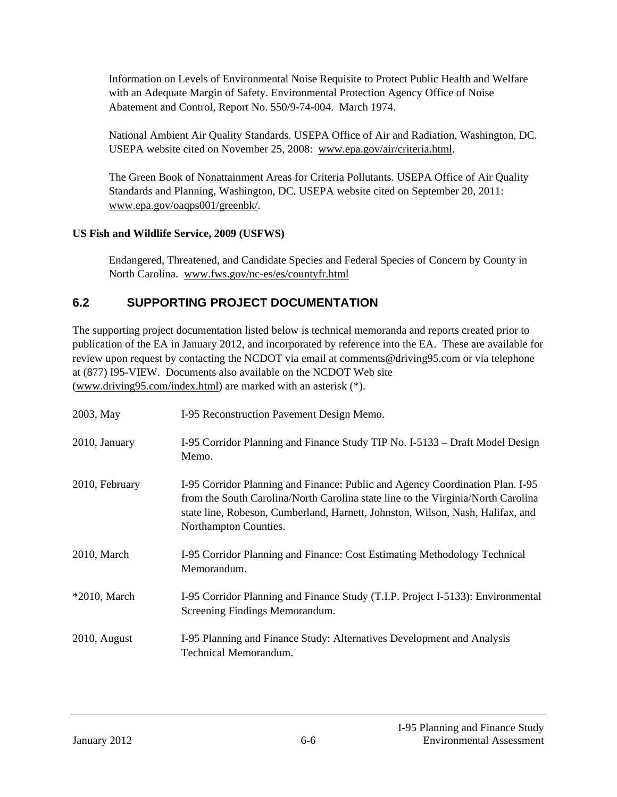Information on Levels of Environmental Noise Requisite to Protect Public Health and Welfare with an Adequate Margin of Safety. Environmental Protection Agency Office of Noise Abatement and Control, Report No. 550/9-74-004. March 1974.

National Ambient Air Quality Standards. USEPA Office of Air and Radiation, Washington, DC. USEPA website cited on November 25, 2008: www.epa.gov/air/criteria.html.

The Green Book of Nonattainment Areas for Criteria Pollutants. USEPA Office of Air Quality Standards and Planning, Washington, DC. USEPA website cited on September 20, 2011: www.epa.gov/oaqps001/greenbk/.

# **US Fish and Wildlife Service, 2009 (USFWS)**

Endangered, Threatened, and Candidate Species and Federal Species of Concern by County in North Carolina. www.fws.gov/nc-es/es/countyfr.html

# **6.2 SUPPORTING PROJECT DOCUMENTATION**

The supporting project documentation listed below is technical memoranda and reports created prior to publication of the EA in January 2012, and incorporated by reference into the EA. These are available for review upon request by contacting the NCDOT via email at comments@driving95.com or via telephone at (877) I95-VIEW. Documents also available on the NCDOT Web site (www.driving95.com/index.html) are marked with an asterisk (\*).

| 2003, May       | I-95 Reconstruction Pavement Design Memo.                                                                                                                                                                                                                                    |
|-----------------|------------------------------------------------------------------------------------------------------------------------------------------------------------------------------------------------------------------------------------------------------------------------------|
| 2010, January   | I-95 Corridor Planning and Finance Study TIP No. I-5133 – Draft Model Design<br>Memo.                                                                                                                                                                                        |
| 2010, February  | I-95 Corridor Planning and Finance: Public and Agency Coordination Plan. I-95<br>from the South Carolina/North Carolina state line to the Virginia/North Carolina<br>state line, Robeson, Cumberland, Harnett, Johnston, Wilson, Nash, Halifax, and<br>Northampton Counties. |
| 2010, March     | I-95 Corridor Planning and Finance: Cost Estimating Methodology Technical<br>Memorandum.                                                                                                                                                                                     |
| $*2010$ , March | I-95 Corridor Planning and Finance Study (T.I.P. Project I-5133): Environmental<br>Screening Findings Memorandum.                                                                                                                                                            |
| $2010$ , August | I-95 Planning and Finance Study: Alternatives Development and Analysis<br>Technical Memorandum.                                                                                                                                                                              |